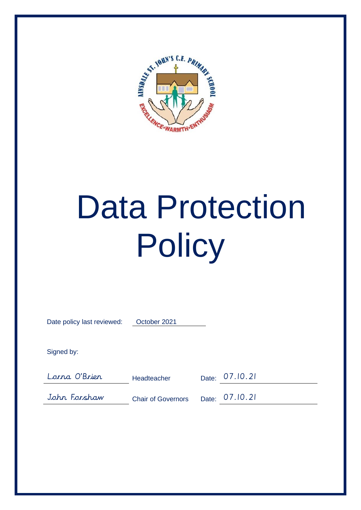

# Data Protection **Policy**

| Date policy last reviewed: | October 2021              |       |                |
|----------------------------|---------------------------|-------|----------------|
|                            |                           |       |                |
| Signed by:                 |                           |       |                |
|                            |                           |       |                |
| Lorna O'Brier              | <b>Headteacher</b>        |       | Date: 07.10.21 |
| John Forshaw               | <b>Chair of Governors</b> | Date: | 07.10.21       |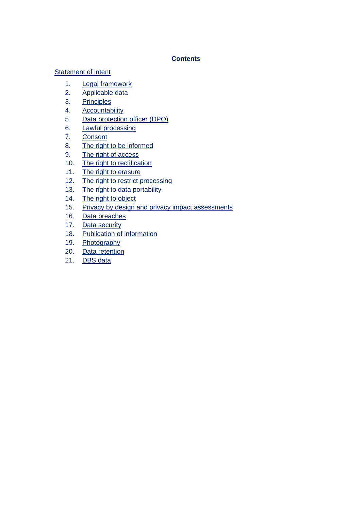# **Contents**

# Statement of intent

- 1. Legal framework
- 2. Applicable data
- 3. Principles
- 4. Accountability
- 5. Data protection officer (DPO)
- 6. Lawful processing
- 7. Consent
- 8. The right to be informed
- 9. The right of access
- 10. The right to rectification
- 11. The right to erasure
- 12. The right to restrict processing
- 13. The right to data portability
- 14. The right to object
- 15. Privacy by design and privacy impact assessments
- 16. Data breaches
- 17. Data security
- 18. Publication of information
- 19. Photography
- 20. Data retention
- 21. DBS data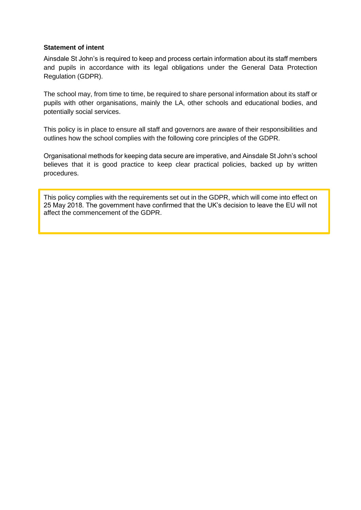### **Statement of intent**

Ainsdale St John's is required to keep and process certain information about its staff members and pupils in accordance with its legal obligations under the General Data Protection Regulation (GDPR).

The school may, from time to time, be required to share personal information about its staff or pupils with other organisations, mainly the LA, other schools and educational bodies, and potentially social services.

This policy is in place to ensure all staff and governors are aware of their responsibilities and outlines how the school complies with the following core principles of the GDPR.

Organisational methods for keeping data secure are imperative, and Ainsdale St John's school believes that it is good practice to keep clear practical policies, backed up by written procedures.

This policy complies with the requirements set out in the GDPR, which will come into effect on 25 May 2018. The government have confirmed that the UK's decision to leave the EU will not affect the commencement of the GDPR.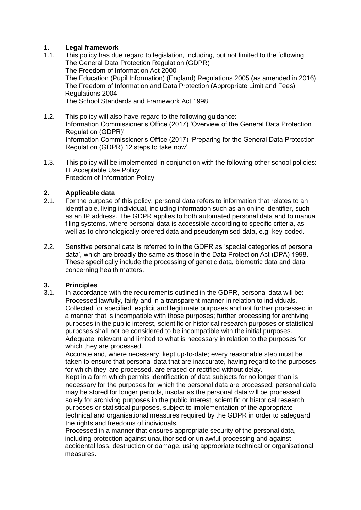# **1. Legal framework**

- 1.1. This policy has due regard to legislation, including, but not limited to the following: The General Data Protection Regulation (GDPR) The Freedom of Information Act 2000 The Education (Pupil Information) (England) Regulations 2005 (as amended in 2016) The Freedom of Information and Data Protection (Appropriate Limit and Fees) Regulations 2004 The School Standards and Framework Act 1998
- 1.2. This policy will also have regard to the following guidance: Information Commissioner's Office (2017) 'Overview of the General Data Protection Regulation (GDPR)' Information Commissioner's Office (2017) 'Preparing for the General Data Protection Regulation (GDPR) 12 steps to take now'
- 1.3. This policy will be implemented in conjunction with the following other school policies: IT Acceptable Use Policy Freedom of Information Policy

# **2. Applicable data**

- 2.1. For the purpose of this policy, personal data refers to information that relates to an identifiable, living individual, including information such as an online identifier, such as an IP address. The GDPR applies to both automated personal data and to manual filing systems, where personal data is accessible according to specific criteria, as well as to chronologically ordered data and pseudonymised data, e.g. key-coded.
- 2.2. Sensitive personal data is referred to in the GDPR as 'special categories of personal data', which are broadly the same as those in the Data Protection Act (DPA) 1998. These specifically include the processing of genetic data, biometric data and data concerning health matters.

# **3. Principles**

3.1. In accordance with the requirements outlined in the GDPR, personal data will be: Processed lawfully, fairly and in a transparent manner in relation to individuals. Collected for specified, explicit and legitimate purposes and not further processed in a manner that is incompatible with those purposes; further processing for archiving purposes in the public interest, scientific or historical research purposes or statistical purposes shall not be considered to be incompatible with the initial purposes. Adequate, relevant and limited to what is necessary in relation to the purposes for which they are processed.

Accurate and, where necessary, kept up-to-date; every reasonable step must be taken to ensure that personal data that are inaccurate, having regard to the purposes for which they are processed, are erased or rectified without delay.

Kept in a form which permits identification of data subjects for no longer than is necessary for the purposes for which the personal data are processed; personal data may be stored for longer periods, insofar as the personal data will be processed solely for archiving purposes in the public interest, scientific or historical research purposes or statistical purposes, subject to implementation of the appropriate technical and organisational measures required by the GDPR in order to safeguard the rights and freedoms of individuals.

Processed in a manner that ensures appropriate security of the personal data, including protection against unauthorised or unlawful processing and against accidental loss, destruction or damage, using appropriate technical or organisational measures.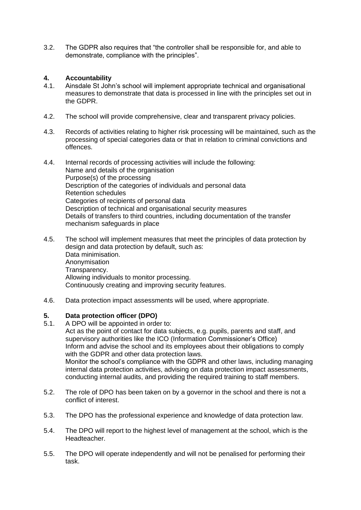3.2. The GDPR also requires that "the controller shall be responsible for, and able to demonstrate, compliance with the principles".

# **4. Accountability**

- 4.1. Ainsdale St John's school will implement appropriate technical and organisational measures to demonstrate that data is processed in line with the principles set out in the GDPR.
- 4.2. The school will provide comprehensive, clear and transparent privacy policies.
- 4.3. Records of activities relating to higher risk processing will be maintained, such as the processing of special categories data or that in relation to criminal convictions and offences.
- 4.4. Internal records of processing activities will include the following: Name and details of the organisation Purpose(s) of the processing Description of the categories of individuals and personal data Retention schedules Categories of recipients of personal data Description of technical and organisational security measures Details of transfers to third countries, including documentation of the transfer mechanism safeguards in place
- 4.5. The school will implement measures that meet the principles of data protection by design and data protection by default, such as: Data minimisation. Anonymisation Transparency. Allowing individuals to monitor processing. Continuously creating and improving security features.
- 4.6. Data protection impact assessments will be used, where appropriate.

# **5. Data protection officer (DPO)**

- 5.1. A DPO will be appointed in order to: Act as the point of contact for data subjects, e.g. pupils, parents and staff, and supervisory authorities like the ICO (Information Commissioner's Office) Inform and advise the school and its employees about their obligations to comply with the GDPR and other data protection laws. Monitor the school's compliance with the GDPR and other laws, including managing internal data protection activities, advising on data protection impact assessments, conducting internal audits, and providing the required training to staff members.
- 5.2. The role of DPO has been taken on by a governor in the school and there is not a conflict of interest.
- 5.3. The DPO has the professional experience and knowledge of data protection law.
- 5.4. The DPO will report to the highest level of management at the school, which is the Headteacher.
- 5.5. The DPO will operate independently and will not be penalised for performing their task.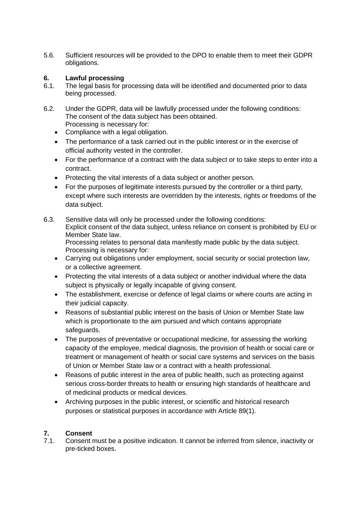5.6. Sufficient resources will be provided to the DPO to enable them to meet their GDPR obligations.

# **6. Lawful processing**

- 6.1. The legal basis for processing data will be identified and documented prior to data being processed.
- 6.2. Under the GDPR, data will be lawfully processed under the following conditions: The consent of the data subject has been obtained. Processing is necessary for:
	- Compliance with a legal obligation.
	- The performance of a task carried out in the public interest or in the exercise of official authority vested in the controller.
	- For the performance of a contract with the data subject or to take steps to enter into a contract.
	- Protecting the vital interests of a data subject or another person.
	- For the purposes of legitimate interests pursued by the controller or a third party, except where such interests are overridden by the interests, rights or freedoms of the data subject.
- 6.3. Sensitive data will only be processed under the following conditions: Explicit consent of the data subject, unless reliance on consent is prohibited by EU or Member State law. Processing relates to personal data manifestly made public by the data subject. Processing is necessary for:
	- Carrying out obligations under employment, social security or social protection law, or a collective agreement.
	- Protecting the vital interests of a data subject or another individual where the data subject is physically or legally incapable of giving consent.
	- The establishment, exercise or defence of legal claims or where courts are acting in their judicial capacity.
	- Reasons of substantial public interest on the basis of Union or Member State law which is proportionate to the aim pursued and which contains appropriate safeguards.
	- The purposes of preventative or occupational medicine, for assessing the working capacity of the employee, medical diagnosis, the provision of health or social care or treatment or management of health or social care systems and services on the basis of Union or Member State law or a contract with a health professional.
	- Reasons of public interest in the area of public health, such as protecting against serious cross-border threats to health or ensuring high standards of healthcare and of medicinal products or medical devices.
	- Archiving purposes in the public interest, or scientific and historical research purposes or statistical purposes in accordance with Article 89(1).

# **7. Consent**

7.1. Consent must be a positive indication. It cannot be inferred from silence, inactivity or pre-ticked boxes.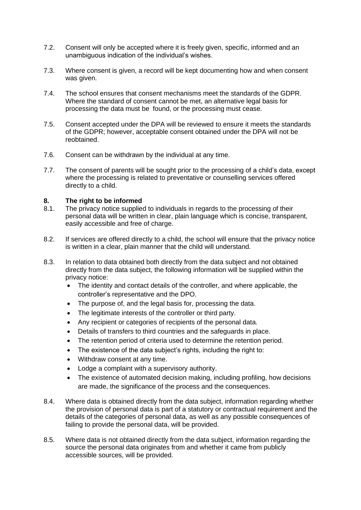- 7.2. Consent will only be accepted where it is freely given, specific, informed and an unambiguous indication of the individual's wishes.
- 7.3. Where consent is given, a record will be kept documenting how and when consent was given.
- 7.4. The school ensures that consent mechanisms meet the standards of the GDPR. Where the standard of consent cannot be met, an alternative legal basis for processing the data must be found, or the processing must cease.
- 7.5. Consent accepted under the DPA will be reviewed to ensure it meets the standards of the GDPR; however, acceptable consent obtained under the DPA will not be reobtained.
- 7.6. Consent can be withdrawn by the individual at any time.
- 7.7. The consent of parents will be sought prior to the processing of a child's data, except where the processing is related to preventative or counselling services offered directly to a child.

# **8. The right to be informed**

- 8.1. The privacy notice supplied to individuals in regards to the processing of their personal data will be written in clear, plain language which is concise, transparent, easily accessible and free of charge.
- 8.2. If services are offered directly to a child, the school will ensure that the privacy notice is written in a clear, plain manner that the child will understand.
- 8.3. In relation to data obtained both directly from the data subject and not obtained directly from the data subject, the following information will be supplied within the privacy notice:
	- The identity and contact details of the controller, and where applicable, the controller's representative and the DPO.
	- The purpose of, and the legal basis for, processing the data.
	- The legitimate interests of the controller or third party.
	- Any recipient or categories of recipients of the personal data.
	- Details of transfers to third countries and the safeguards in place.
	- The retention period of criteria used to determine the retention period.
	- The existence of the data subject's rights, including the right to:
	- Withdraw consent at any time.
	- Lodge a complaint with a supervisory authority.
	- The existence of automated decision making, including profiling, how decisions are made, the significance of the process and the consequences.
- 8.4. Where data is obtained directly from the data subject, information regarding whether the provision of personal data is part of a statutory or contractual requirement and the details of the categories of personal data, as well as any possible consequences of failing to provide the personal data, will be provided.
- 8.5. Where data is not obtained directly from the data subject, information regarding the source the personal data originates from and whether it came from publicly accessible sources, will be provided.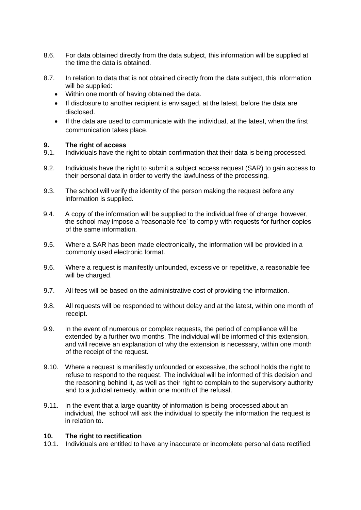- 8.6. For data obtained directly from the data subject, this information will be supplied at the time the data is obtained.
- 8.7. In relation to data that is not obtained directly from the data subject, this information will be supplied:
	- Within one month of having obtained the data.
	- If disclosure to another recipient is envisaged, at the latest, before the data are disclosed.
	- If the data are used to communicate with the individual, at the latest, when the first communication takes place.

# **9. The right of access**

- Individuals have the right to obtain confirmation that their data is being processed.
- 9.2. Individuals have the right to submit a subject access request (SAR) to gain access to their personal data in order to verify the lawfulness of the processing.
- 9.3. The school will verify the identity of the person making the request before any information is supplied.
- 9.4. A copy of the information will be supplied to the individual free of charge; however, the school may impose a 'reasonable fee' to comply with requests for further copies of the same information.
- 9.5. Where a SAR has been made electronically, the information will be provided in a commonly used electronic format.
- 9.6. Where a request is manifestly unfounded, excessive or repetitive, a reasonable fee will be charged.
- 9.7. All fees will be based on the administrative cost of providing the information.
- 9.8. All requests will be responded to without delay and at the latest, within one month of receipt.
- 9.9. In the event of numerous or complex requests, the period of compliance will be extended by a further two months. The individual will be informed of this extension, and will receive an explanation of why the extension is necessary, within one month of the receipt of the request.
- 9.10. Where a request is manifestly unfounded or excessive, the school holds the right to refuse to respond to the request. The individual will be informed of this decision and the reasoning behind it, as well as their right to complain to the supervisory authority and to a judicial remedy, within one month of the refusal.
- 9.11. In the event that a large quantity of information is being processed about an individual, the school will ask the individual to specify the information the request is in relation to.

#### **10. The right to rectification**

10.1. Individuals are entitled to have any inaccurate or incomplete personal data rectified.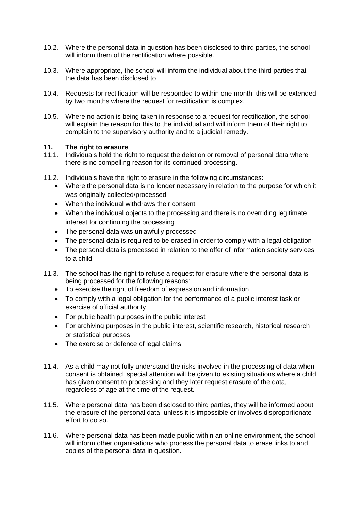- 10.2. Where the personal data in question has been disclosed to third parties, the school will inform them of the rectification where possible.
- 10.3. Where appropriate, the school will inform the individual about the third parties that the data has been disclosed to.
- 10.4. Requests for rectification will be responded to within one month; this will be extended by two months where the request for rectification is complex.
- 10.5. Where no action is being taken in response to a request for rectification, the school will explain the reason for this to the individual and will inform them of their right to complain to the supervisory authority and to a judicial remedy.

#### **11. The right to erasure**

- 11.1. Individuals hold the right to request the deletion or removal of personal data where there is no compelling reason for its continued processing.
- 11.2. Individuals have the right to erasure in the following circumstances:
	- Where the personal data is no longer necessary in relation to the purpose for which it was originally collected/processed
	- When the individual withdraws their consent
	- When the individual objects to the processing and there is no overriding legitimate interest for continuing the processing
	- The personal data was unlawfully processed
	- The personal data is required to be erased in order to comply with a legal obligation
	- The personal data is processed in relation to the offer of information society services to a child
- 11.3. The school has the right to refuse a request for erasure where the personal data is being processed for the following reasons:
	- To exercise the right of freedom of expression and information
	- To comply with a legal obligation for the performance of a public interest task or exercise of official authority
	- For public health purposes in the public interest
	- For archiving purposes in the public interest, scientific research, historical research or statistical purposes
	- The exercise or defence of legal claims
- 11.4. As a child may not fully understand the risks involved in the processing of data when consent is obtained, special attention will be given to existing situations where a child has given consent to processing and they later request erasure of the data, regardless of age at the time of the request.
- 11.5. Where personal data has been disclosed to third parties, they will be informed about the erasure of the personal data, unless it is impossible or involves disproportionate effort to do so.
- 11.6. Where personal data has been made public within an online environment, the school will inform other organisations who process the personal data to erase links to and copies of the personal data in question.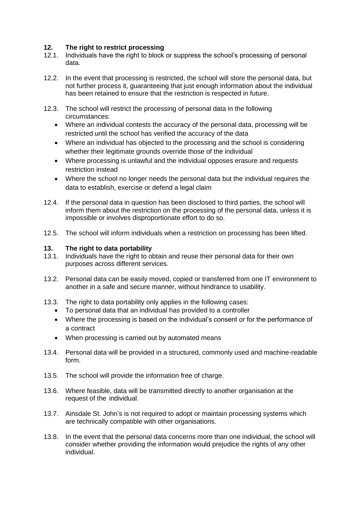# **12. The right to restrict processing**

- 12.1. Individuals have the right to block or suppress the school's processing of personal data.
- 12.2. In the event that processing is restricted, the school will store the personal data, but not further process it, guaranteeing that just enough information about the individual has been retained to ensure that the restriction is respected in future.
- 12.3. The school will restrict the processing of personal data in the following circumstances:
	- Where an individual contests the accuracy of the personal data, processing will be restricted until the school has verified the accuracy of the data
	- Where an individual has objected to the processing and the school is considering whether their legitimate grounds override those of the individual
	- Where processing is unlawful and the individual opposes erasure and requests restriction instead
	- Where the school no longer needs the personal data but the individual requires the data to establish, exercise or defend a legal claim
- 12.4. If the personal data in question has been disclosed to third parties, the school will inform them about the restriction on the processing of the personal data, unless it is impossible or involves disproportionate effort to do so.
- 12.5. The school will inform individuals when a restriction on processing has been lifted.

# **13. The right to data portability**

- 13.1. Individuals have the right to obtain and reuse their personal data for their own purposes across different services.
- 13.2. Personal data can be easily moved, copied or transferred from one IT environment to another in a safe and secure manner, without hindrance to usability.
- 13.3. The right to data portability only applies in the following cases:
	- To personal data that an individual has provided to a controller
	- Where the processing is based on the individual's consent or for the performance of a contract
	- When processing is carried out by automated means
- 13.4. Personal data will be provided in a structured, commonly used and machine-readable form.
- 13.5. The school will provide the information free of charge.
- 13.6. Where feasible, data will be transmitted directly to another organisation at the request of the individual.
- 13.7. Ainsdale St. John's is not required to adopt or maintain processing systems which are technically compatible with other organisations.
- 13.8. In the event that the personal data concerns more than one individual, the school will consider whether providing the information would prejudice the rights of any other individual.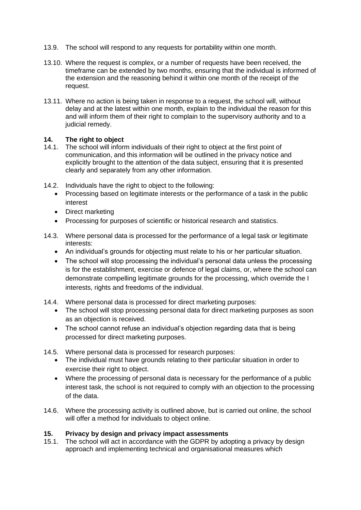- 13.9. The school will respond to any requests for portability within one month.
- 13.10. Where the request is complex, or a number of requests have been received, the timeframe can be extended by two months, ensuring that the individual is informed of the extension and the reasoning behind it within one month of the receipt of the request.
- 13.11. Where no action is being taken in response to a request, the school will, without delay and at the latest within one month, explain to the individual the reason for this and will inform them of their right to complain to the supervisory authority and to a judicial remedy.

# **14. The right to object**

- 14.1. The school will inform individuals of their right to object at the first point of communication, and this information will be outlined in the privacy notice and explicitly brought to the attention of the data subject, ensuring that it is presented clearly and separately from any other information.
- 14.2. Individuals have the right to object to the following:
	- Processing based on legitimate interests or the performance of a task in the public interest
	- Direct marketing
	- Processing for purposes of scientific or historical research and statistics.
- 14.3. Where personal data is processed for the performance of a legal task or legitimate interests:
	- An individual's grounds for objecting must relate to his or her particular situation.
	- The school will stop processing the individual's personal data unless the processing is for the establishment, exercise or defence of legal claims, or, where the school can demonstrate compelling legitimate grounds for the processing, which override the I interests, rights and freedoms of the individual.
- 14.4. Where personal data is processed for direct marketing purposes:
	- The school will stop processing personal data for direct marketing purposes as soon as an objection is received.
	- The school cannot refuse an individual's objection regarding data that is being processed for direct marketing purposes.
- 14.5. Where personal data is processed for research purposes:
	- The individual must have grounds relating to their particular situation in order to exercise their right to object.
	- Where the processing of personal data is necessary for the performance of a public interest task, the school is not required to comply with an objection to the processing of the data.
- 14.6. Where the processing activity is outlined above, but is carried out online, the school will offer a method for individuals to object online.

# **15. Privacy by design and privacy impact assessments**

15.1. The school will act in accordance with the GDPR by adopting a privacy by design approach and implementing technical and organisational measures which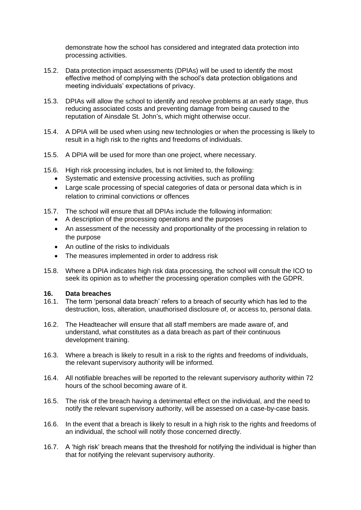demonstrate how the school has considered and integrated data protection into processing activities.

- 15.2. Data protection impact assessments (DPIAs) will be used to identify the most effective method of complying with the school's data protection obligations and meeting individuals' expectations of privacy.
- 15.3. DPIAs will allow the school to identify and resolve problems at an early stage, thus reducing associated costs and preventing damage from being caused to the reputation of Ainsdale St. John's, which might otherwise occur.
- 15.4. A DPIA will be used when using new technologies or when the processing is likely to result in a high risk to the rights and freedoms of individuals.
- 15.5. A DPIA will be used for more than one project, where necessary.
- 15.6. High risk processing includes, but is not limited to, the following:
	- Systematic and extensive processing activities, such as profiling
	- Large scale processing of special categories of data or personal data which is in relation to criminal convictions or offences
- 15.7. The school will ensure that all DPIAs include the following information:
	- A description of the processing operations and the purposes
	- An assessment of the necessity and proportionality of the processing in relation to the purpose
	- An outline of the risks to individuals
	- The measures implemented in order to address risk
- 15.8. Where a DPIA indicates high risk data processing, the school will consult the ICO to seek its opinion as to whether the processing operation complies with the GDPR.

#### **16. Data breaches**

- 16.1. The term 'personal data breach' refers to a breach of security which has led to the destruction, loss, alteration, unauthorised disclosure of, or access to, personal data.
- 16.2. The Headteacher will ensure that all staff members are made aware of, and understand, what constitutes as a data breach as part of their continuous development training.
- 16.3. Where a breach is likely to result in a risk to the rights and freedoms of individuals, the relevant supervisory authority will be informed.
- 16.4. All notifiable breaches will be reported to the relevant supervisory authority within 72 hours of the school becoming aware of it.
- 16.5. The risk of the breach having a detrimental effect on the individual, and the need to notify the relevant supervisory authority, will be assessed on a case-by-case basis.
- 16.6. In the event that a breach is likely to result in a high risk to the rights and freedoms of an individual, the school will notify those concerned directly.
- 16.7. A 'high risk' breach means that the threshold for notifying the individual is higher than that for notifying the relevant supervisory authority.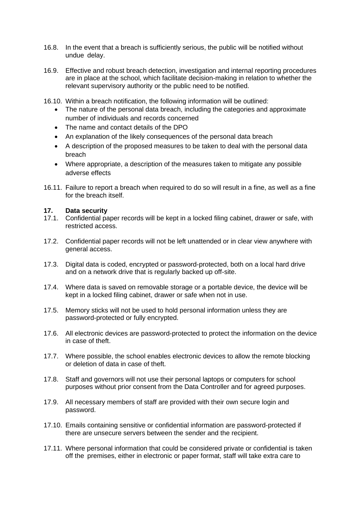- 16.8. In the event that a breach is sufficiently serious, the public will be notified without undue delay.
- 16.9. Effective and robust breach detection, investigation and internal reporting procedures are in place at the school, which facilitate decision-making in relation to whether the relevant supervisory authority or the public need to be notified.
- 16.10. Within a breach notification, the following information will be outlined:
	- The nature of the personal data breach, including the categories and approximate number of individuals and records concerned
	- The name and contact details of the DPO
	- An explanation of the likely consequences of the personal data breach
	- A description of the proposed measures to be taken to deal with the personal data breach
	- Where appropriate, a description of the measures taken to mitigate any possible adverse effects
- 16.11. Failure to report a breach when required to do so will result in a fine, as well as a fine for the breach itself.

# **17. Data security**

- 17.1. Confidential paper records will be kept in a locked filing cabinet, drawer or safe, with restricted access.
- 17.2. Confidential paper records will not be left unattended or in clear view anywhere with general access.
- 17.3. Digital data is coded, encrypted or password-protected, both on a local hard drive and on a network drive that is regularly backed up off-site.
- 17.4. Where data is saved on removable storage or a portable device, the device will be kept in a locked filing cabinet, drawer or safe when not in use.
- 17.5. Memory sticks will not be used to hold personal information unless they are password-protected or fully encrypted.
- 17.6. All electronic devices are password-protected to protect the information on the device in case of theft.
- 17.7. Where possible, the school enables electronic devices to allow the remote blocking or deletion of data in case of theft.
- 17.8. Staff and governors will not use their personal laptops or computers for school purposes without prior consent from the Data Controller and for agreed purposes.
- 17.9. All necessary members of staff are provided with their own secure login and password.
- 17.10. Emails containing sensitive or confidential information are password-protected if there are unsecure servers between the sender and the recipient.
- 17.11. Where personal information that could be considered private or confidential is taken off the premises, either in electronic or paper format, staff will take extra care to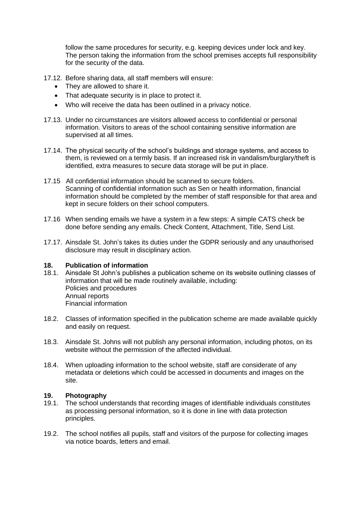follow the same procedures for security, e.g. keeping devices under lock and key. The person taking the information from the school premises accepts full responsibility for the security of the data.

- 17.12. Before sharing data, all staff members will ensure:
	- They are allowed to share it.
	- That adequate security is in place to protect it.
	- Who will receive the data has been outlined in a privacy notice.
- 17.13. Under no circumstances are visitors allowed access to confidential or personal information. Visitors to areas of the school containing sensitive information are supervised at all times.
- 17.14. The physical security of the school's buildings and storage systems, and access to them, is reviewed on a termly basis. If an increased risk in vandalism/burglary/theft is identified, extra measures to secure data storage will be put in place.
- 17.15 All confidential information should be scanned to secure folders. Scanning of confidential information such as Sen or health information, financial information should be completed by the member of staff responsible for that area and kept in secure folders on their school computers.
- 17.16 When sending emails we have a system in a few steps: A simple CATS check be done before sending any emails. Check Content, Attachment, Title, Send List.
- 17.17. Ainsdale St. John's takes its duties under the GDPR seriously and any unauthorised disclosure may result in disciplinary action.

#### **18. Publication of information**

- 18.1. Ainsdale St John's publishes a publication scheme on its website outlining classes of information that will be made routinely available, including: Policies and procedures Annual reports Financial information
- 18.2. Classes of information specified in the publication scheme are made available quickly and easily on request.
- 18.3. Ainsdale St. Johns will not publish any personal information, including photos, on its website without the permission of the affected individual.
- 18.4. When uploading information to the school website, staff are considerate of any metadata or deletions which could be accessed in documents and images on the site.

#### **19. Photography**

- 19.1. The school understands that recording images of identifiable individuals constitutes as processing personal information, so it is done in line with data protection principles.
- 19.2. The school notifies all pupils, staff and visitors of the purpose for collecting images via notice boards, letters and email.